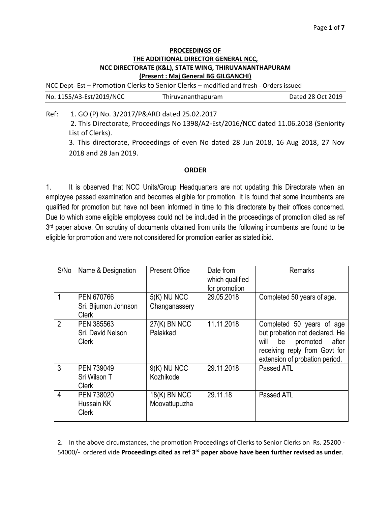## **PROCEEDINGS OF THE ADDITIONAL DIRECTOR GENERAL NCC, NCC DIRECTORATE (K&L), STATE WING, THIRUVANANTHAPURAM (Present : Maj General BG GILGANCHI)**

NCC Dept- Est – Promotion Clerks to Senior Clerks – modified and fresh - Orders issued

| No. 1155/A3-Est/2019/NCC |                                             | Thiruvananthapuram                                                                        | Dated 28 Oct 2019 |
|--------------------------|---------------------------------------------|-------------------------------------------------------------------------------------------|-------------------|
| Ref:                     | 1. GO (P) No. 3/2017/P&ARD dated 25.02.2017 | 3. This Discolongle, Decessations No. 4300/43. Est/3046/NCC detail 44.06.3040 (Contenting |                   |

2. This Directorate, Proceedings No 1398/A2-Est/2016/NCC dated 11.06.2018 (Seniority List of Clerks).

3. This directorate, Proceedings of even No dated 28 Jun 2018, 16 Aug 2018, 27 Nov 2018 and 28 Jan 2019.

## **ORDER**

1. It is observed that NCC Units/Group Headquarters are not updating this Directorate when an employee passed examination and becomes eligible for promotion. It is found that some incumbents are qualified for promotion but have not been informed in time to this directorate by their offices concerned. Due to which some eligible employees could not be included in the proceedings of promotion cited as ref 3<sup>rd</sup> paper above. On scrutiny of documents obtained from units the following incumbents are found to be eligible for promotion and were not considered for promotion earlier as stated ibid.

| S/No           | Name & Designation                                 | <b>Present Office</b>          | Date from<br>which qualified<br>for promotion | <b>Remarks</b>                                                                                                                                                    |
|----------------|----------------------------------------------------|--------------------------------|-----------------------------------------------|-------------------------------------------------------------------------------------------------------------------------------------------------------------------|
|                | PEN 670766<br>Sri. Bijumon Johnson<br><b>Clerk</b> | $5(K)$ NU NCC<br>Changanassery | 29.05.2018                                    | Completed 50 years of age.                                                                                                                                        |
| $\overline{2}$ | PEN 385563<br>Sri. David Nelson<br><b>Clerk</b>    | $27(K)$ BN NCC<br>Palakkad     | 11.11.2018                                    | Completed 50 years of age<br>but probation not declared. He<br>will<br>be<br>promoted<br>after<br>receiving reply from Govt for<br>extension of probation period. |
| 3              | PEN 739049<br>Sri Wilson T<br><b>Clerk</b>         | $9(K)$ NU NCC<br>Kozhikode     | 29.11.2018                                    | Passed ATL                                                                                                                                                        |
| 4              | PEN 738020<br>Hussain KK<br><b>Clerk</b>           | 18(K) BN NCC<br>Moovattupuzha  | 29.11.18                                      | Passed ATL                                                                                                                                                        |

2. In the above circumstances, the promotion Proceedings of Clerks to Senior Clerks on Rs. 25200 - 54000/- ordered vide **Proceedings cited as ref 3rd paper above have been further revised as under**.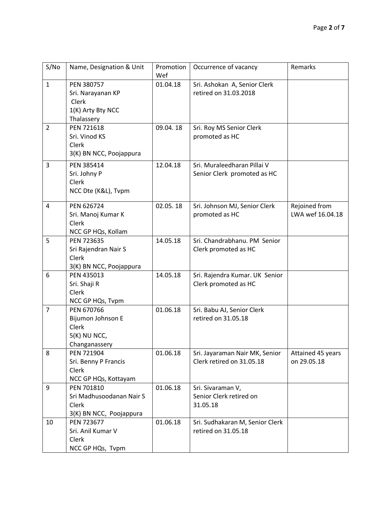| S/No           | Name, Designation & Unit   | Promotion<br>Wef | Occurrence of vacancy           | Remarks           |
|----------------|----------------------------|------------------|---------------------------------|-------------------|
| $\mathbf{1}$   | PEN 380757                 | 01.04.18         | Sri. Ashokan A, Senior Clerk    |                   |
|                | Sri. Narayanan KP          |                  | retired on 31.03.2018           |                   |
|                | Clerk                      |                  |                                 |                   |
|                | 1(K) Arty Bty NCC          |                  |                                 |                   |
|                | Thalassery                 |                  |                                 |                   |
| $\overline{2}$ | PEN 721618                 | 09.04.18         | Sri. Roy MS Senior Clerk        |                   |
|                | Sri. Vinod KS              |                  | promoted as HC                  |                   |
|                | Clerk                      |                  |                                 |                   |
|                | 3(K) BN NCC, Poojappura    |                  |                                 |                   |
| 3              | PEN 385414                 | 12.04.18         | Sri. Muraleedharan Pillai V     |                   |
|                | Sri. Johny P               |                  | Senior Clerk promoted as HC     |                   |
|                | Clerk                      |                  |                                 |                   |
|                | NCC Dte (K&L), Tvpm        |                  |                                 |                   |
| 4              | PEN 626724                 | 02.05.18         | Sri. Johnson MJ, Senior Clerk   | Rejoined from     |
|                | Sri. Manoj Kumar K         |                  | promoted as HC                  | LWA wef 16.04.18  |
|                | <b>Clerk</b>               |                  |                                 |                   |
|                | NCC GP HQs, Kollam         |                  |                                 |                   |
| 5              | PEN 723635                 | 14.05.18         | Sri. Chandrabhanu. PM Senior    |                   |
|                | Sri Rajendran Nair S       |                  | Clerk promoted as HC            |                   |
|                | Clerk                      |                  |                                 |                   |
|                | 3(K) BN NCC, Poojappura    |                  |                                 |                   |
| 6              | PEN 435013                 | 14.05.18         | Sri. Rajendra Kumar. UK Senior  |                   |
|                | Sri. Shaji R               |                  | Clerk promoted as HC            |                   |
|                | Clerk                      |                  |                                 |                   |
|                | NCC GP HQs, Tvpm           |                  |                                 |                   |
| $\overline{7}$ | PEN 670766                 | 01.06.18         | Sri. Babu AJ, Senior Clerk      |                   |
|                | Bijumon Johnson E<br>Clerk |                  | retired on 31.05.18             |                   |
|                | $5(K)$ NU NCC,             |                  |                                 |                   |
|                | Changanassery              |                  |                                 |                   |
| 8              | PEN 721904                 | 01.06.18         | Sri. Jayaraman Nair MK, Senior  | Attained 45 years |
|                | Sri. Benny P Francis       |                  | Clerk retired on 31.05.18       | on 29.05.18       |
|                | Clerk                      |                  |                                 |                   |
|                | NCC GP HQs, Kottayam       |                  |                                 |                   |
| 9              | PEN 701810                 | 01.06.18         | Sri. Sivaraman V,               |                   |
|                | Sri Madhusoodanan Nair S   |                  | Senior Clerk retired on         |                   |
|                | Clerk                      |                  | 31.05.18                        |                   |
|                | 3(K) BN NCC, Poojappura    |                  |                                 |                   |
| 10             | PEN 723677                 | 01.06.18         | Sri. Sudhakaran M, Senior Clerk |                   |
|                | Sri. Anil Kumar V          |                  | retired on 31.05.18             |                   |
|                | Clerk                      |                  |                                 |                   |
|                | NCC GP HQs, Tvpm           |                  |                                 |                   |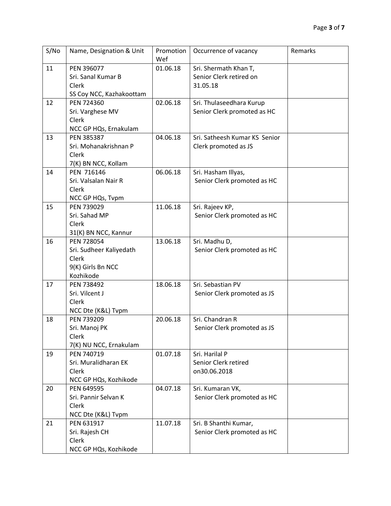| S/No | Name, Designation & Unit       | Promotion<br>Wef | Occurrence of vacancy         | Remarks |
|------|--------------------------------|------------------|-------------------------------|---------|
| 11   | PEN 396077                     | 01.06.18         | Sri. Shermath Khan T,         |         |
|      | Sri. Sanal Kumar B             |                  | Senior Clerk retired on       |         |
|      | Clerk                          |                  | 31.05.18                      |         |
|      | SS Coy NCC, Kazhakoottam       |                  |                               |         |
| 12   | PEN 724360                     | 02.06.18         | Sri. Thulaseedhara Kurup      |         |
|      | Sri. Varghese MV               |                  | Senior Clerk promoted as HC   |         |
|      | Clerk                          |                  |                               |         |
|      | NCC GP HQs, Ernakulam          |                  |                               |         |
| 13   | PEN 385387                     | 04.06.18         | Sri. Satheesh Kumar KS Senior |         |
|      | Sri. Mohanakrishnan P          |                  | Clerk promoted as JS          |         |
|      | Clerk                          |                  |                               |         |
|      | 7(K) BN NCC, Kollam            |                  |                               |         |
| 14   | PEN 716146                     | 06.06.18         | Sri. Hasham Illyas,           |         |
|      | Sri. Valsalan Nair R           |                  | Senior Clerk promoted as HC   |         |
|      | Clerk                          |                  |                               |         |
|      | NCC GP HQs, Tvpm               |                  |                               |         |
| 15   | PEN 739029                     | 11.06.18         | Sri. Rajeev KP,               |         |
|      | Sri. Sahad MP                  |                  | Senior Clerk promoted as HC   |         |
|      | Clerk                          |                  |                               |         |
|      | 31(K) BN NCC, Kannur           |                  |                               |         |
| 16   | PEN 728054                     | 13.06.18         | Sri. Madhu D,                 |         |
|      | Sri. Sudheer Kaliyedath        |                  | Senior Clerk promoted as HC   |         |
|      | Clerk                          |                  |                               |         |
|      | 9(K) Girls Bn NCC<br>Kozhikode |                  |                               |         |
| 17   | PEN 738492                     | 18.06.18         | Sri. Sebastian PV             |         |
|      | Sri. Vilcent J                 |                  |                               |         |
|      | Clerk                          |                  | Senior Clerk promoted as JS   |         |
|      | NCC Dte (K&L) Tvpm             |                  |                               |         |
| 18   | PEN 739209                     | 20.06.18         | Sri. Chandran R               |         |
|      | Sri. Manoj PK                  |                  | Senior Clerk promoted as JS   |         |
|      | Clerk                          |                  |                               |         |
|      | 7(K) NU NCC, Ernakulam         |                  |                               |         |
| 19   | PEN 740719                     | 01.07.18         | Sri. Harilal P                |         |
|      | Sri. Muralidharan EK           |                  | Senior Clerk retired          |         |
|      | Clerk                          |                  | on30.06.2018                  |         |
|      | NCC GP HQs, Kozhikode          |                  |                               |         |
| 20   | PEN 649595                     | 04.07.18         | Sri. Kumaran VK,              |         |
|      | Sri. Pannir Selvan K           |                  | Senior Clerk promoted as HC   |         |
|      | Clerk                          |                  |                               |         |
|      | NCC Dte (K&L) Tvpm             |                  |                               |         |
| 21   | PEN 631917                     | 11.07.18         | Sri. B Shanthi Kumar,         |         |
|      | Sri. Rajesh CH                 |                  | Senior Clerk promoted as HC   |         |
|      | Clerk                          |                  |                               |         |
|      | NCC GP HQs, Kozhikode          |                  |                               |         |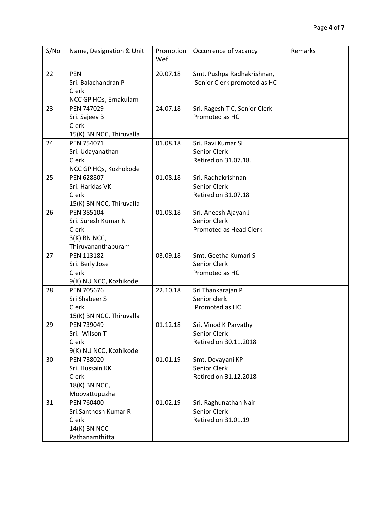| S/No | Name, Designation & Unit                                                           | Promotion<br>Wef | Occurrence of vacancy                                          | Remarks |
|------|------------------------------------------------------------------------------------|------------------|----------------------------------------------------------------|---------|
| 22   | <b>PEN</b><br>Sri. Balachandran P<br>Clerk<br>NCC GP HQs, Ernakulam                | 20.07.18         | Smt. Pushpa Radhakrishnan,<br>Senior Clerk promoted as HC      |         |
| 23   | PEN 747029<br>Sri. Sajeev B<br>Clerk<br>15(K) BN NCC, Thiruvalla                   | 24.07.18         | Sri. Ragesh T C, Senior Clerk<br>Promoted as HC                |         |
| 24   | PEN 754071<br>Sri. Udayanathan<br>Clerk<br>NCC GP HQs, Kozhokode                   | 01.08.18         | Sri. Ravi Kumar SL<br>Senior Clerk<br>Retired on 31.07.18.     |         |
| 25   | PEN 628807<br>Sri. Haridas VK<br>Clerk<br>15(K) BN NCC, Thiruvalla                 | 01.08.18         | Sri. Radhakrishnan<br>Senior Clerk<br>Retired on 31.07.18      |         |
| 26   | PEN 385104<br>Sri. Suresh Kumar N<br>Clerk<br>$3(K)$ BN NCC,<br>Thiruvananthapuram | 01.08.18         | Sri. Aneesh Ajayan J<br>Senior Clerk<br>Promoted as Head Clerk |         |
| 27   | PEN 113182<br>Sri. Berly Jose<br>Clerk<br>9(K) NU NCC, Kozhikode                   | 03.09.18         | Smt. Geetha Kumari S<br>Senior Clerk<br>Promoted as HC         |         |
| 28   | PEN 705676<br>Sri Shabeer S<br>Clerk<br>15(K) BN NCC, Thiruvalla                   | 22.10.18         | Sri Thankarajan P<br>Senior clerk<br>Promoted as HC            |         |
| 29   | PEN 739049<br>Sri. Wilson T<br><b>Clerk</b><br>9(K) NU NCC, Kozhikode              | 01.12.18         | Sri. Vinod K Parvathy<br>Senior Clerk<br>Retired on 30.11.2018 |         |
| 30   | PEN 738020<br>Sri. Hussain KK<br>Clerk<br>18(K) BN NCC,<br>Moovattupuzha           | 01.01.19         | Smt. Devayani KP<br>Senior Clerk<br>Retired on 31.12.2018      |         |
| 31   | PEN 760400<br>Sri.Santhosh Kumar R<br>Clerk<br>14(K) BN NCC<br>Pathanamthitta      | 01.02.19         | Sri. Raghunathan Nair<br>Senior Clerk<br>Retired on 31.01.19   |         |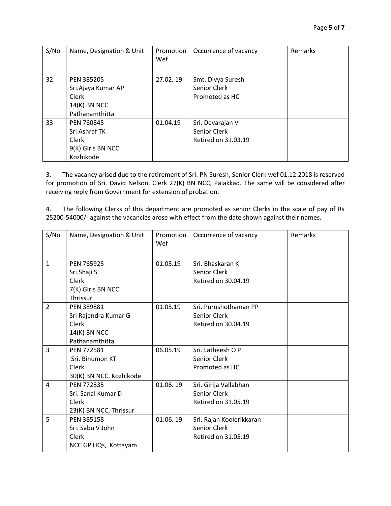| S/No | Name, Designation & Unit | Promotion<br>Wef | Occurrence of vacancy | Remarks |
|------|--------------------------|------------------|-----------------------|---------|
| 32   | PEN 385205               | 27.02.19         | Smt. Divya Suresh     |         |
|      | Sri.Ajaya Kumar AP       |                  | Senior Clerk          |         |
|      | <b>Clerk</b>             |                  | Promoted as HC        |         |
|      | $14(K)$ BN NCC           |                  |                       |         |
|      | Pathanamthitta           |                  |                       |         |
| 33   | PEN 760845               | 01.04.19         | Sri. Devarajan V      |         |
|      | Sri Ashraf TK            |                  | Senior Clerk          |         |
|      | Clerk                    |                  | Retired on 31.03.19   |         |
|      | 9(K) Girls BN NCC        |                  |                       |         |
|      | Kozhikode                |                  |                       |         |

3. The vacancy arised due to the retirement of Sri. PN Suresh, Senior Clerk wef 01.12.2018 is reserved for promotion of Sri. David Nelson, Clerk 27(K) BN NCC, Palakkad. The same will be considered after receiving reply from Government for extension of probation.

4. The following Clerks of this department are promoted as senior Clerks in the scale of pay of Rs 25200-54000/- against the vacancies arose with effect from the date shown against their names.

| S/No           | Name, Designation & Unit                                                             | Promotion<br>Wef | Occurrence of vacancy                                           | Remarks |
|----------------|--------------------------------------------------------------------------------------|------------------|-----------------------------------------------------------------|---------|
| $\mathbf{1}$   | PEN 765925<br>Sri.Shaji S<br><b>Clerk</b><br>7(K) Girls BN NCC<br>Thrissur           | 01.05.19         | Sri. Bhaskaran K<br>Senior Clerk<br>Retired on 30.04.19         |         |
| $\overline{2}$ | PEN 389881<br>Sri Rajendra Kumar G<br><b>Clerk</b><br>14(K) BN NCC<br>Pathanamthitta | 01.05.19         | Sri. Purushothaman PP<br>Senior Clerk<br>Retired on 30.04.19    |         |
| 3              | PEN 772581<br>Sri. Binumon KT<br>Clerk<br>30(K) BN NCC, Kozhikode                    | 06.05.19         | Sri. Latheesh O P<br>Senior Clerk<br>Promoted as HC             |         |
| 4              | PEN 772835<br>Sri. Sanal Kumar D<br>Clerk<br>23(K) BN NCC, Thrissur                  | 01.06.19         | Sri. Girija Vallabhan<br>Senior Clerk<br>Retired on 31.05.19    |         |
| 5              | PEN 385158<br>Sri. Sabu V John<br>Clerk<br>NCC GP HQs, Kottayam                      | 01.06.19         | Sri. Rajan Koolerikkaran<br>Senior Clerk<br>Retired on 31.05.19 |         |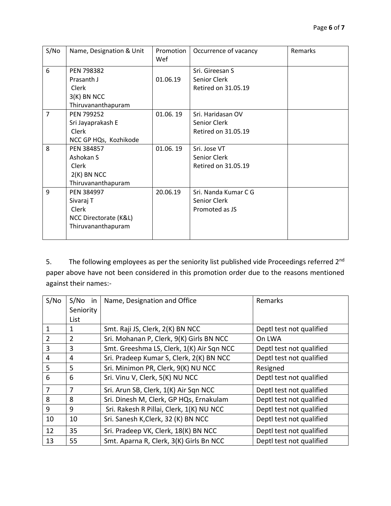| S/No           | Name, Designation & Unit | Promotion<br>Wef | Occurrence of vacancy | Remarks |
|----------------|--------------------------|------------------|-----------------------|---------|
| 6              | PEN 798382               |                  | Sri. Gireesan S       |         |
|                | Prasanth J               | 01.06.19         | Senior Clerk          |         |
|                | Clerk                    |                  | Retired on 31.05.19   |         |
|                | $3(K)$ BN NCC            |                  |                       |         |
|                | Thiruvananthapuram       |                  |                       |         |
| $\overline{7}$ | PEN 799252               | 01.06.19         | Sri. Haridasan OV     |         |
|                | Sri Jayaprakash E        |                  | Senior Clerk          |         |
|                | <b>Clerk</b>             |                  | Retired on 31.05.19   |         |
|                | NCC GP HQs, Kozhikode    |                  |                       |         |
| 8              | PEN 384857               | 01.06.19         | Sri. Jose VT          |         |
|                | Ashokan S                |                  | Senior Clerk          |         |
|                | Clerk                    |                  | Retired on 31.05.19   |         |
|                | $2(K)$ BN NCC            |                  |                       |         |
|                | Thiruvananthapuram       |                  |                       |         |
| 9              | PEN 384997               | 20.06.19         | Sri. Nanda Kumar C G  |         |
|                | Sivaraj T                |                  | Senior Clerk          |         |
|                | <b>Clerk</b>             |                  | Promoted as JS        |         |
|                | NCC Directorate (K&L)    |                  |                       |         |
|                | Thiruvananthapuram       |                  |                       |         |
|                |                          |                  |                       |         |

5. The following employees as per the seniority list published vide Proceedings referred 2<sup>nd</sup> paper above have not been considered in this promotion order due to the reasons mentioned against their names:-

| S/No           | S/No in        | Name, Designation and Office              | Remarks                  |
|----------------|----------------|-------------------------------------------|--------------------------|
|                | Seniority      |                                           |                          |
|                | List           |                                           |                          |
| $\mathbf{1}$   | 1              | Smt. Raji JS, Clerk, 2(K) BN NCC          | Deptl test not qualified |
| $\overline{2}$ | $\overline{2}$ | Sri. Mohanan P, Clerk, 9(K) Girls BN NCC  | On LWA                   |
| 3              | 3              | Smt. Greeshma LS, Clerk, 1(K) Air Sqn NCC | Deptl test not qualified |
| $\overline{4}$ | 4              | Sri. Pradeep Kumar S, Clerk, 2(K) BN NCC  | Deptl test not qualified |
| 5              | 5              | Sri. Minimon PR, Clerk, 9(K) NU NCC       | Resigned                 |
| 6              | 6              | Sri. Vinu V, Clerk, 5(K) NU NCC           | Deptl test not qualified |
| 7              | 7              | Sri. Arun SB, Clerk, 1(K) Air Sqn NCC     | Deptl test not qualified |
| 8              | 8              | Sri. Dinesh M, Clerk, GP HQs, Ernakulam   | Deptl test not qualified |
| 9              | 9              | Sri. Rakesh R Pillai, Clerk, 1(K) NU NCC  | Deptl test not qualified |
| 10             | 10             | Sri. Sanesh K, Clerk, 32 (K) BN NCC       | Deptl test not qualified |
| 12             | 35             | Sri. Pradeep VK, Clerk, 18(K) BN NCC      | Deptl test not qualified |
| 13             | 55             | Smt. Aparna R, Clerk, 3(K) Girls Bn NCC   | Deptl test not qualified |